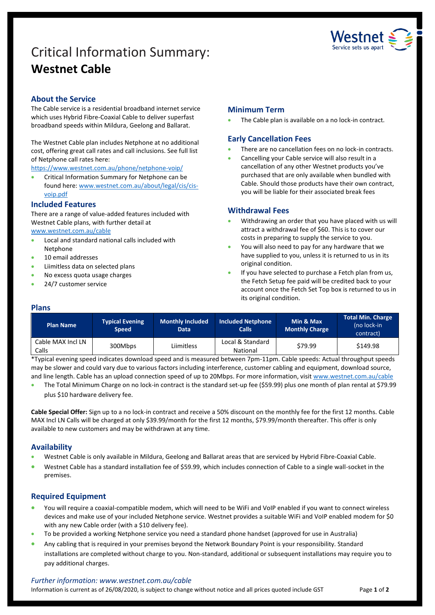# Critical Information Summary: **Westnet Cable**



## **About the Service**

The Cable service is a residential broadband internet service which uses Hybrid Fibre-Coaxial Cable to deliver superfast broadband speeds within Mildura, Geelong and Ballarat.

The Westnet Cable plan includes Netphone at no additional cost, offering great call rates and call inclusions. See full list of Netphone call rates here:

<https://www.westnet.com.au/phone/netphone-voip/>

**•** Critical Information Summary for Netphone can be found here: [www.westnet.com.au/about/legal/cis/cis](http://www.westnet.com.au/about/legal/cis/cis-voip.pdf)[voip.pdf](http://www.westnet.com.au/about/legal/cis/cis-voip.pdf)

### **Included Features**

There are a range of value-added features included with Westnet Cable plans, with further detail at [www.westnet.com.au/cable](http://www.westnet.com.au/cable)

- Local and standard national calls included with Netphone
- 10 email addresses
- Liimitless data on selected plans
- No excess quota usage charges
- 24/7 customer service

## **Minimum Term**

The Cable plan is available on a no lock-in contract.

## **Early Cancellation Fees**

- There are no cancellation fees on no lock-in contracts.
- Cancelling your Cable service will also result in a cancellation of any other Westnet products you've purchased that are only available when bundled with Cable. Should those products have their own contract, you will be liable for their associated break fees

## **Withdrawal Fees**

- Withdrawing an order that you have placed with us will attract a withdrawal fee of \$60. This is to cover our costs in preparing to supply the service to you.
- You will also need to pay for any hardware that we have supplied to you, unless it is returned to us in its original condition.
- If you have selected to purchase a Fetch plan from us, the Fetch Setup fee paid will be credited back to your account once the Fetch Set Top box is returned to us in its original condition.

#### **Plans**

| <b>Plan Name</b>           | <b>Typical Evening</b><br><b>Speed</b> | Monthly Included<br><b>Data</b> | <b>Included Netphone</b><br><b>Calls</b> | Min & Max<br><b>Monthly Charge</b> | <b>Total Min. Charge</b><br>(no lock-in<br>contract) |
|----------------------------|----------------------------------------|---------------------------------|------------------------------------------|------------------------------------|------------------------------------------------------|
| Cable MAX Incl LN<br>Calls | 300Mbps                                | Liimitless                      | Local & Standard<br>National             | \$79.99                            | \$149.98                                             |

\*Typical evening speed indicates download speed and is measured between 7pm-11pm. Cable speeds: Actual throughput speeds may be slower and could vary due to various factors including interference, customer cabling and equipment, download source, and line length. Cable has an upload connection speed of up to 20Mbps. For more information, visit [www.westnet.com.au/cable](http://www.westnet.com.au/cable)

 The Total Minimum Charge on no lock-in contract is the standard set-up fee (\$59.99) plus one month of plan rental at \$79.99 plus \$10 hardware delivery fee.

**Cable Special Offer:** Sign up to a no lock-in contract and receive a 50% discount on the monthly fee for the first 12 months. Cable MAX Incl LN Calls will be charged at only \$39.99/month for the first 12 months, \$79.99/month thereafter. This offer is only available to new customers and may be withdrawn at any time.

## **Availability**

- Westnet Cable is only available in Mildura, Geelong and Ballarat areas that are serviced by Hybrid Fibre-Coaxial Cable.
- Westnet Cable has a standard installation fee of \$59.99, which includes connection of Cable to a single wall-socket in the premises.

## **Required Equipment**

- You will require a coaxial-compatible modem, which will need to be WiFi and VoIP enabled if you want to connect wireless devices and make use of your included Netphone service. Westnet provides a suitable WiFi and VoIP enabled modem for \$0 with any new Cable order (with a \$10 delivery fee).
- To be provided a working Netphone service you need a standard phone handset (approved for use in Australia)
- Any cabling that is required in your premises beyond the Network Boundary Point is your responsibility. Standard installations are completed without charge to you. Non-standard, additional or subsequent installations may require you to pay additional charges.

#### *Further information: www.westnet.com.au/cable*

Information is current as of 26/08/2020, is subject to change without notice and all prices quoted include GST Page 1 of 2